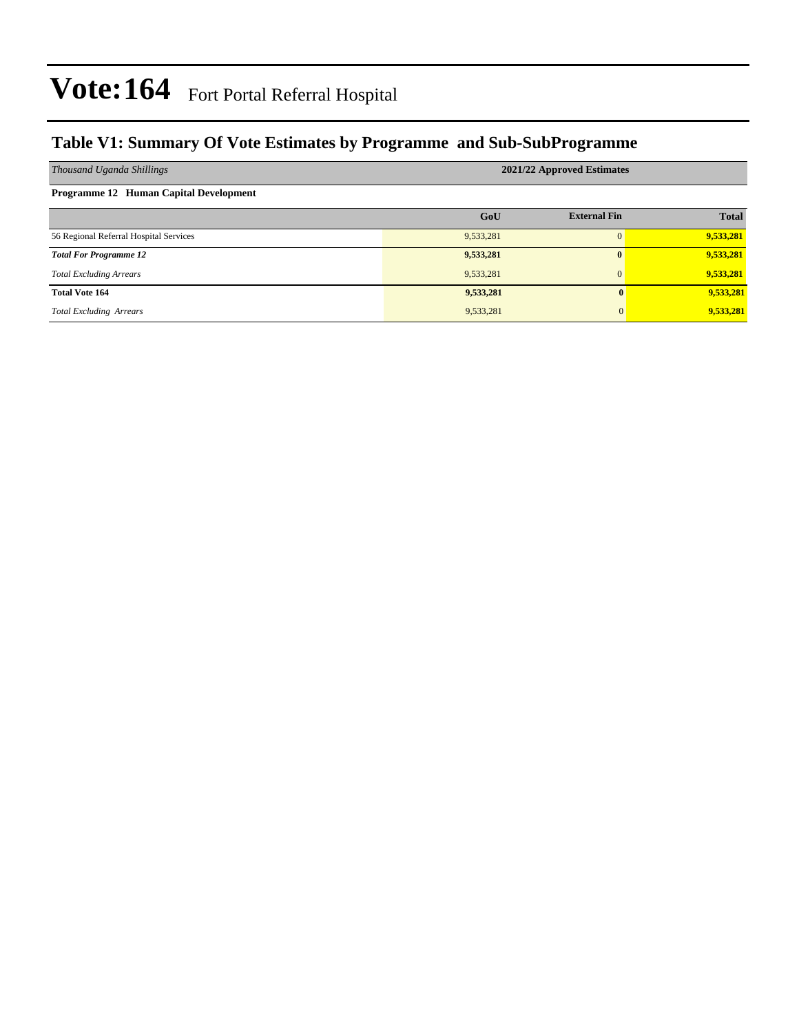### **Table V1: Summary Of Vote Estimates by Programme and Sub-SubProgramme**

| Thousand Uganda Shillings              | 2021/22 Approved Estimates |                     |              |  |  |  |
|----------------------------------------|----------------------------|---------------------|--------------|--|--|--|
| Programme 12 Human Capital Development |                            |                     |              |  |  |  |
|                                        | GoU                        | <b>External Fin</b> | <b>Total</b> |  |  |  |
| 56 Regional Referral Hospital Services | 9,533,281                  |                     | 9,533,281    |  |  |  |
| <b>Total For Programme 12</b>          | 9,533,281                  |                     | 9,533,281    |  |  |  |
| <b>Total Excluding Arrears</b>         | 9,533,281                  | $\Omega$            | 9,533,281    |  |  |  |
| <b>Total Vote 164</b>                  | 9,533,281                  | $\mathbf{0}$        | 9,533,281    |  |  |  |
| <b>Total Excluding Arrears</b>         | 9,533,281                  | $\mathbf{0}$        | 9,533,281    |  |  |  |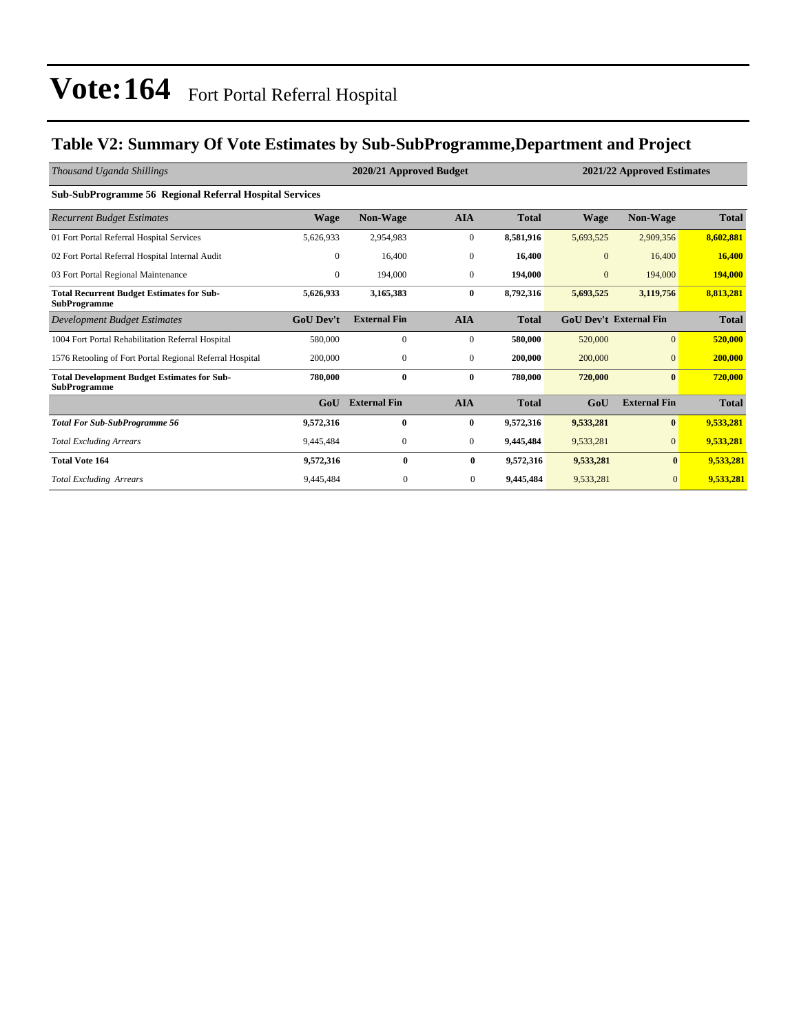### **Table V2: Summary Of Vote Estimates by Sub-SubProgramme,Department and Project**

| Thousand Uganda Shillings                                                 |                  | 2020/21 Approved Budget |                  | 2021/22 Approved Estimates |              |                               |              |
|---------------------------------------------------------------------------|------------------|-------------------------|------------------|----------------------------|--------------|-------------------------------|--------------|
| <b>Sub-SubProgramme 56 Regional Referral Hospital Services</b>            |                  |                         |                  |                            |              |                               |              |
| <b>Recurrent Budget Estimates</b>                                         | <b>Wage</b>      | <b>Non-Wage</b>         | <b>AIA</b>       | <b>Total</b>               | <b>Wage</b>  | <b>Non-Wage</b>               | <b>Total</b> |
| 01 Fort Portal Referral Hospital Services                                 | 5,626,933        | 2,954,983               | $\boldsymbol{0}$ | 8,581,916                  | 5,693,525    | 2,909,356                     | 8,602,881    |
| 02 Fort Portal Referral Hospital Internal Audit                           | $\mathbf{0}$     | 16,400                  | $\boldsymbol{0}$ | 16,400                     | $\mathbf{0}$ | 16,400                        | 16,400       |
| 03 Fort Portal Regional Maintenance                                       | $\mathbf{0}$     | 194,000                 | $\mathbf{0}$     | 194,000                    | $\mathbf{0}$ | 194,000                       | 194,000      |
| <b>Total Recurrent Budget Estimates for Sub-</b><br><b>SubProgramme</b>   | 5,626,933        | 3,165,383               | $\bf{0}$         | 8,792,316                  | 5,693,525    | 3,119,756                     | 8,813,281    |
| <b>Development Budget Estimates</b>                                       | <b>GoU</b> Dev't | <b>External Fin</b>     | <b>AIA</b>       | <b>Total</b>               |              | <b>GoU Dev't External Fin</b> | <b>Total</b> |
| 1004 Fort Portal Rehabilitation Referral Hospital                         | 580,000          | $\mathbf{0}$            | $\mathbf{0}$     | 580,000                    | 520,000      | $\overline{0}$                | 520,000      |
| 1576 Retooling of Fort Portal Regional Referral Hospital                  | 200,000          | $\boldsymbol{0}$        | $\mathbf{0}$     | 200,000                    | 200,000      | $\mathbf{0}$                  | 200,000      |
| <b>Total Development Budget Estimates for Sub-</b><br><b>SubProgramme</b> | 780,000          | $\bf{0}$                | $\bf{0}$         | 780,000                    | 720,000      | $\bf{0}$                      | 720,000      |
|                                                                           | GoU              | <b>External Fin</b>     | <b>AIA</b>       | <b>Total</b>               | GoU          | <b>External Fin</b>           | <b>Total</b> |
| <b>Total For Sub-SubProgramme 56</b>                                      | 9,572,316        | $\bf{0}$                | $\bf{0}$         | 9,572,316                  | 9,533,281    | $\bf{0}$                      | 9,533,281    |
| <b>Total Excluding Arrears</b>                                            | 9,445,484        | $\mathbf{0}$            | $\mathbf{0}$     | 9,445,484                  | 9,533,281    | $\mathbf{0}$                  | 9,533,281    |
| <b>Total Vote 164</b>                                                     | 9,572,316        | $\mathbf{0}$            | $\bf{0}$         | 9,572,316                  | 9,533,281    | $\bf{0}$                      | 9,533,281    |
| <b>Total Excluding Arrears</b>                                            | 9,445,484        | $\mathbf{0}$            | $\mathbf{0}$     | 9,445,484                  | 9,533,281    | $\overline{0}$                | 9,533,281    |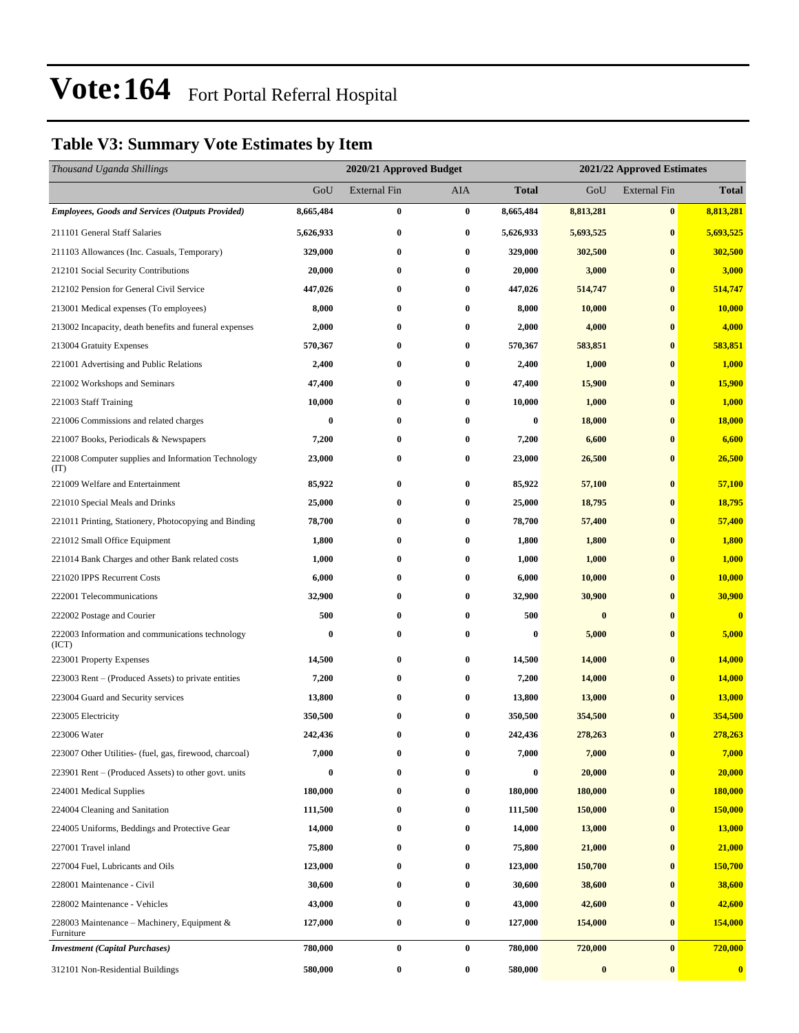### **Table V3: Summary Vote Estimates by Item**

| Thousand Uganda Shillings                                   | 2020/21 Approved Budget |                     |            |              | 2021/22 Approved Estimates |                     |               |  |
|-------------------------------------------------------------|-------------------------|---------------------|------------|--------------|----------------------------|---------------------|---------------|--|
|                                                             | GoU                     | <b>External Fin</b> | <b>AIA</b> | <b>Total</b> | GoU                        | <b>External Fin</b> | <b>Total</b>  |  |
| <b>Employees, Goods and Services (Outputs Provided)</b>     | 8,665,484               | $\bf{0}$            | $\bf{0}$   | 8,665,484    | 8,813,281                  | $\bf{0}$            | 8,813,281     |  |
| 211101 General Staff Salaries                               | 5,626,933               | $\bf{0}$            | $\bf{0}$   | 5,626,933    | 5,693,525                  | $\bf{0}$            | 5,693,525     |  |
| 211103 Allowances (Inc. Casuals, Temporary)                 | 329,000                 | $\bf{0}$            | $\bf{0}$   | 329,000      | 302,500                    | $\bf{0}$            | 302,500       |  |
| 212101 Social Security Contributions                        | 20,000                  | $\bf{0}$            | $\bf{0}$   | 20,000       | 3,000                      | $\bf{0}$            | 3,000         |  |
| 212102 Pension for General Civil Service                    | 447,026                 | 0                   | $\bf{0}$   | 447,026      | 514,747                    | $\bf{0}$            | 514,747       |  |
| 213001 Medical expenses (To employees)                      | 8,000                   | $\bf{0}$            | $\bf{0}$   | 8,000        | 10,000                     | $\bf{0}$            | 10,000        |  |
| 213002 Incapacity, death benefits and funeral expenses      | 2,000                   | $\bf{0}$            | 0          | 2,000        | 4,000                      | $\bf{0}$            | 4,000         |  |
| 213004 Gratuity Expenses                                    | 570,367                 | 0                   | $\bf{0}$   | 570,367      | 583,851                    | $\bf{0}$            | 583,851       |  |
| 221001 Advertising and Public Relations                     | 2,400                   | $\bf{0}$            | $\bf{0}$   | 2,400        | 1,000                      | $\bf{0}$            | 1,000         |  |
| 221002 Workshops and Seminars                               | 47,400                  | 0                   | $\bf{0}$   | 47,400       | 15,900                     | $\bf{0}$            | <b>15,900</b> |  |
| 221003 Staff Training                                       | 10,000                  | $\bf{0}$            | $\bf{0}$   | 10,000       | 1,000                      | $\bf{0}$            | 1,000         |  |
| 221006 Commissions and related charges                      | $\bf{0}$                | 0                   | $\bf{0}$   | 0            | 18,000                     | $\bf{0}$            | 18,000        |  |
| 221007 Books, Periodicals & Newspapers                      | 7,200                   | 0                   | $\bf{0}$   | 7,200        | 6,600                      | $\bf{0}$            | 6,600         |  |
| 221008 Computer supplies and Information Technology<br>(TT) | 23,000                  | $\bf{0}$            | $\bf{0}$   | 23,000       | 26,500                     | $\bf{0}$            | 26,500        |  |
| 221009 Welfare and Entertainment                            | 85,922                  | $\bf{0}$            | $\bf{0}$   | 85,922       | 57,100                     | $\bf{0}$            | 57,100        |  |
| 221010 Special Meals and Drinks                             | 25,000                  | 0                   | $\bf{0}$   | 25,000       | 18,795                     | $\bf{0}$            | 18,795        |  |
| 221011 Printing, Stationery, Photocopying and Binding       | 78,700                  | $\bf{0}$            | $\bf{0}$   | 78,700       | 57,400                     | $\bf{0}$            | 57,400        |  |
| 221012 Small Office Equipment                               | 1,800                   | $\bf{0}$            | $\bf{0}$   | 1,800        | 1,800                      | $\bf{0}$            | 1,800         |  |
| 221014 Bank Charges and other Bank related costs            | 1,000                   | 0                   | $\bf{0}$   | 1,000        | 1,000                      | $\bf{0}$            | 1,000         |  |
| 221020 IPPS Recurrent Costs                                 | 6,000                   | $\bf{0}$            | 0          | 6,000        | 10,000                     | $\bf{0}$            | 10,000        |  |
| 222001 Telecommunications                                   | 32,900                  | 0                   | $\bf{0}$   | 32,900       | 30,900                     | $\bf{0}$            | 30,900        |  |
| 222002 Postage and Courier                                  | 500                     | $\bf{0}$            | $\bf{0}$   | 500          | $\bf{0}$                   | $\bf{0}$            | $\bf{0}$      |  |
| 222003 Information and communications technology<br>(ICT)   | $\bf{0}$                | $\bf{0}$            | $\bf{0}$   | 0            | 5,000                      | $\bf{0}$            | 5,000         |  |
| 223001 Property Expenses                                    | 14,500                  | 0                   | $\bf{0}$   | 14,500       | 14,000                     | $\bf{0}$            | 14,000        |  |
| 223003 Rent – (Produced Assets) to private entities         | 7,200                   | 0                   | $\bf{0}$   | 7,200        | 14,000                     | $\bf{0}$            | 14,000        |  |
| 223004 Guard and Security services                          | 13,800                  | $\bf{0}$            | $\bf{0}$   | 13,800       | 13,000                     | $\bf{0}$            | 13,000        |  |
| 223005 Electricity                                          | 350,500                 | 0                   | $\bf{0}$   | 350,500      | 354,500                    | $\bf{0}$            | 354,500       |  |
| 223006 Water                                                | 242,436                 | $\bf{0}$            | $\bf{0}$   | 242,436      | 278,263                    | $\bf{0}$            | 278,263       |  |
| 223007 Other Utilities- (fuel, gas, firewood, charcoal)     | 7,000                   | 0                   | $\bf{0}$   | 7,000        | 7,000                      | $\bf{0}$            | 7,000         |  |
| 223901 Rent – (Produced Assets) to other govt. units        | $\bf{0}$                | 0                   | $\bf{0}$   | 0            | 20,000                     | $\bf{0}$            | 20,000        |  |
| 224001 Medical Supplies                                     | 180,000                 | $\bf{0}$            | $\bf{0}$   | 180,000      | 180,000                    | $\bf{0}$            | 180,000       |  |
| 224004 Cleaning and Sanitation                              | 111,500                 | 0                   | $\bf{0}$   | 111,500      | 150,000                    | $\bf{0}$            | 150,000       |  |
| 224005 Uniforms, Beddings and Protective Gear               | 14,000                  | $\bf{0}$            | $\bf{0}$   | 14,000       | 13,000                     | $\bf{0}$            | 13,000        |  |
| 227001 Travel inland                                        | 75,800                  | 0                   | $\bf{0}$   | 75,800       | 21,000                     | $\bf{0}$            | 21,000        |  |
| 227004 Fuel, Lubricants and Oils                            | 123,000                 | 0                   | $\bf{0}$   | 123,000      | 150,700                    | $\bf{0}$            | 150,700       |  |
| 228001 Maintenance - Civil                                  | 30,600                  | $\bf{0}$            | $\bf{0}$   | 30,600       | 38,600                     | $\bf{0}$            | 38,600        |  |
| 228002 Maintenance - Vehicles                               | 43,000                  | 0                   | $\bf{0}$   | 43,000       | 42,600                     | $\bf{0}$            | 42,600        |  |
| 228003 Maintenance – Machinery, Equipment $\&$<br>Furniture | 127,000                 | $\bf{0}$            | $\bf{0}$   | 127,000      | 154,000                    | $\bf{0}$            | 154,000       |  |
| <b>Investment</b> (Capital Purchases)                       | 780,000                 | $\bf{0}$            | $\bf{0}$   | 780,000      | 720,000                    | $\bf{0}$            | 720,000       |  |
| 312101 Non-Residential Buildings                            | 580,000                 | $\bf{0}$            | $\bf{0}$   | 580,000      | $\bf{0}$                   | $\bf{0}$            | $\mathbf{0}$  |  |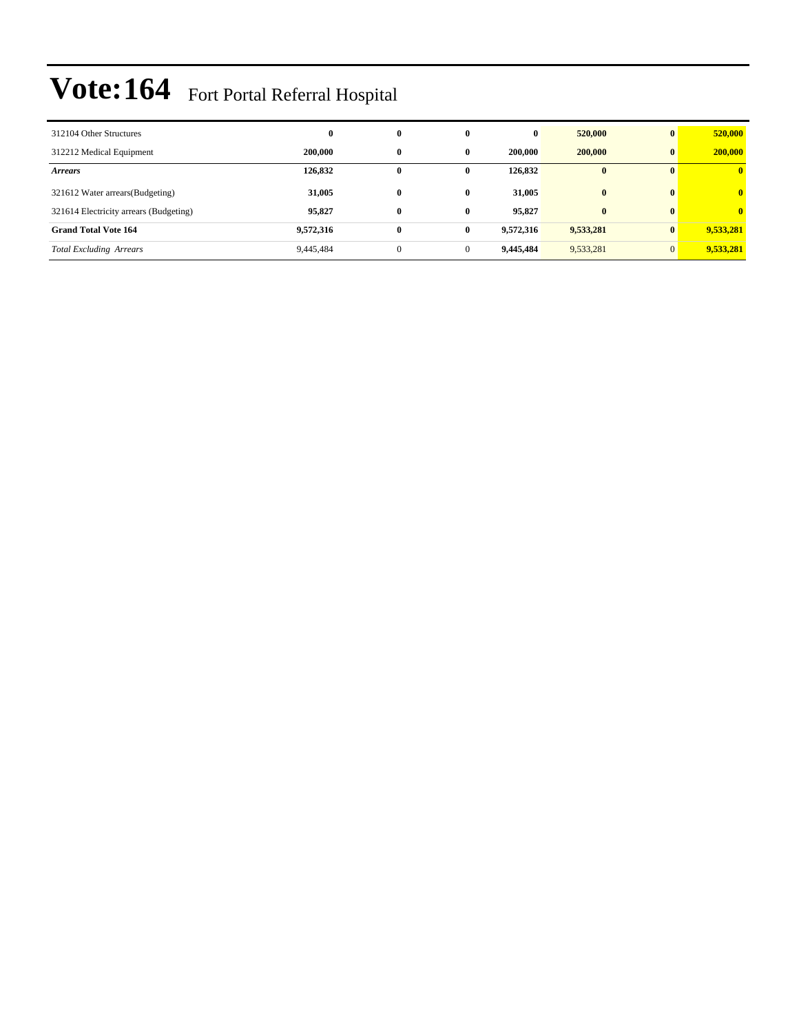| 312104 Other Structures                | $\bf{0}$  | $\bf{0}$     | $\bf{0}$     | $\bf{0}$  | 520,000      | $\mathbf{0}$   | 520,000      |
|----------------------------------------|-----------|--------------|--------------|-----------|--------------|----------------|--------------|
| 312212 Medical Equipment               | 200,000   | $\bf{0}$     | 0            | 200,000   | 200,000      | $\mathbf{0}$   | 200,000      |
| <b>Arrears</b>                         | 126,832   | 0            | 0            | 126,832   | $\mathbf{0}$ | $\mathbf{0}$   | $\bf{0}$     |
| 321612 Water arrears (Budgeting)       | 31,005    | $\bf{0}$     | $\mathbf{0}$ | 31.005    | $\bf{0}$     | $\mathbf{0}$   | $\mathbf{0}$ |
| 321614 Electricity arrears (Budgeting) | 95,827    | $\bf{0}$     | $\bf{0}$     | 95,827    | $\bf{0}$     | $\mathbf{0}$   | $\mathbf{0}$ |
| <b>Grand Total Vote 164</b>            | 9,572,316 | $\bf{0}$     | $\bf{0}$     | 9,572,316 | 9,533,281    | $\bf{0}$       | 9,533,281    |
| <b>Total Excluding Arrears</b>         | 9,445,484 | $\mathbf{0}$ | $\mathbf{0}$ | 9.445.484 | 9,533,281    | $\overline{0}$ | 9,533,281    |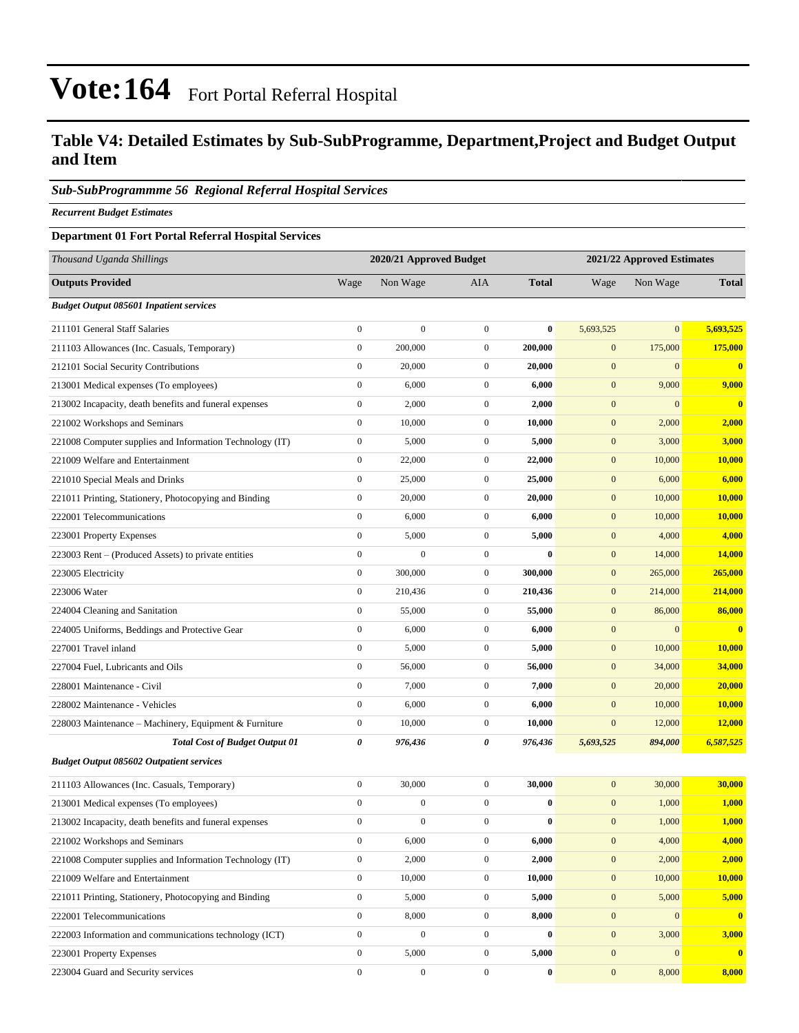#### **Table V4: Detailed Estimates by Sub-SubProgramme, Department,Project and Budget Output and Item**

#### *Sub-SubProgrammme 56 Regional Referral Hospital Services*

*Recurrent Budget Estimates*

#### **Department 01 Fort Portal Referral Hospital Services**

| Thousand Uganda Shillings                                |                  | 2020/21 Approved Budget |                  | 2021/22 Approved Estimates |                  |                  |               |  |  |
|----------------------------------------------------------|------------------|-------------------------|------------------|----------------------------|------------------|------------------|---------------|--|--|
| <b>Outputs Provided</b>                                  | Wage             | Non Wage                | <b>AIA</b>       | <b>Total</b>               | Wage             | Non Wage         | <b>Total</b>  |  |  |
| <b>Budget Output 085601 Inpatient services</b>           |                  |                         |                  |                            |                  |                  |               |  |  |
| 211101 General Staff Salaries                            | $\boldsymbol{0}$ | $\boldsymbol{0}$        | $\boldsymbol{0}$ | $\bf{0}$                   | 5,693,525        | $\overline{0}$   | 5,693,525     |  |  |
| 211103 Allowances (Inc. Casuals, Temporary)              | $\mathbf{0}$     | 200,000                 | $\boldsymbol{0}$ | 200,000                    | $\mathbf{0}$     | 175,000          | 175,000       |  |  |
| 212101 Social Security Contributions                     | $\boldsymbol{0}$ | 20,000                  | $\mathbf{0}$     | 20,000                     | $\mathbf{0}$     | $\Omega$         | $\bf{0}$      |  |  |
| 213001 Medical expenses (To employees)                   | $\boldsymbol{0}$ | 6,000                   | $\boldsymbol{0}$ | 6,000                      | $\boldsymbol{0}$ | 9,000            | 9,000         |  |  |
| 213002 Incapacity, death benefits and funeral expenses   | $\boldsymbol{0}$ | 2,000                   | $\mathbf{0}$     | 2,000                      | $\boldsymbol{0}$ | $\mathbf{0}$     | $\mathbf{0}$  |  |  |
| 221002 Workshops and Seminars                            | $\boldsymbol{0}$ | 10,000                  | $\boldsymbol{0}$ | 10,000                     | $\boldsymbol{0}$ | 2,000            | 2,000         |  |  |
| 221008 Computer supplies and Information Technology (IT) | $\boldsymbol{0}$ | 5,000                   | $\mathbf{0}$     | 5,000                      | $\boldsymbol{0}$ | 3,000            | 3,000         |  |  |
| 221009 Welfare and Entertainment                         | $\boldsymbol{0}$ | 22,000                  | $\mathbf{0}$     | 22,000                     | $\mathbf{0}$     | 10,000           | 10,000        |  |  |
| 221010 Special Meals and Drinks                          | $\boldsymbol{0}$ | 25,000                  | $\boldsymbol{0}$ | 25,000                     | $\boldsymbol{0}$ | 6,000            | 6,000         |  |  |
| 221011 Printing, Stationery, Photocopying and Binding    | $\boldsymbol{0}$ | 20,000                  | $\mathbf{0}$     | 20,000                     | $\boldsymbol{0}$ | 10,000           | 10,000        |  |  |
| 222001 Telecommunications                                | $\boldsymbol{0}$ | 6,000                   | $\boldsymbol{0}$ | 6,000                      | $\boldsymbol{0}$ | 10,000           | 10,000        |  |  |
| 223001 Property Expenses                                 | $\boldsymbol{0}$ | 5,000                   | $\mathbf{0}$     | 5,000                      | $\mathbf{0}$     | 4,000            | 4,000         |  |  |
| 223003 Rent - (Produced Assets) to private entities      | $\boldsymbol{0}$ | $\mathbf{0}$            | $\mathbf{0}$     | $\mathbf{0}$               | $\boldsymbol{0}$ | 14,000           | 14,000        |  |  |
| 223005 Electricity                                       | $\boldsymbol{0}$ | 300,000                 | $\boldsymbol{0}$ | 300,000                    | $\boldsymbol{0}$ | 265,000          | 265,000       |  |  |
| 223006 Water                                             | $\boldsymbol{0}$ | 210,436                 | $\mathbf{0}$     | 210,436                    | $\boldsymbol{0}$ | 214,000          | 214,000       |  |  |
| 224004 Cleaning and Sanitation                           | $\boldsymbol{0}$ | 55,000                  | $\boldsymbol{0}$ | 55,000                     | $\boldsymbol{0}$ | 86,000           | 86,000        |  |  |
| 224005 Uniforms, Beddings and Protective Gear            | $\boldsymbol{0}$ | 6,000                   | $\mathbf{0}$     | 6,000                      | $\mathbf{0}$     | $\Omega$         | $\bf{0}$      |  |  |
| 227001 Travel inland                                     | $\boldsymbol{0}$ | 5,000                   | $\mathbf{0}$     | 5,000                      | $\mathbf{0}$     | 10,000           | 10,000        |  |  |
| 227004 Fuel, Lubricants and Oils                         | $\boldsymbol{0}$ | 56,000                  | $\boldsymbol{0}$ | 56,000                     | $\boldsymbol{0}$ | 34,000           | 34,000        |  |  |
| 228001 Maintenance - Civil                               | $\boldsymbol{0}$ | 7,000                   | $\mathbf{0}$     | 7,000                      | $\boldsymbol{0}$ | 20,000           | 20,000        |  |  |
| 228002 Maintenance - Vehicles                            | $\boldsymbol{0}$ | 6,000                   | $\boldsymbol{0}$ | 6,000                      | $\boldsymbol{0}$ | 10,000           | 10,000        |  |  |
| 228003 Maintenance – Machinery, Equipment & Furniture    | $\boldsymbol{0}$ | 10,000                  | $\mathbf{0}$     | 10,000                     | $\mathbf{0}$     | 12,000           | 12,000        |  |  |
| <b>Total Cost of Budget Output 01</b>                    | 0                | 976,436                 | 0                | 976,436                    | 5,693,525        | 894,000          | 6,587,525     |  |  |
| <b>Budget Output 085602 Outpatient services</b>          |                  |                         |                  |                            |                  |                  |               |  |  |
| 211103 Allowances (Inc. Casuals, Temporary)              | $\boldsymbol{0}$ | 30,000                  | $\mathbf{0}$     | 30,000                     | $\mathbf{0}$     | 30,000           | 30,000        |  |  |
| 213001 Medical expenses (To employees)                   | $\boldsymbol{0}$ | $\boldsymbol{0}$        | $\boldsymbol{0}$ | $\bf{0}$                   | $\mathbf{0}$     | 1,000            | 1,000         |  |  |
| 213002 Incapacity, death benefits and funeral expenses   | $\overline{0}$   | $\boldsymbol{0}$        | $\mathbf{0}$     | $\bf{0}$                   | $\mathbf{0}$     | 1,000            | 1,000         |  |  |
| 221002 Workshops and Seminars                            | $\mathbf{0}$     | 6,000                   | $\mathbf{0}$     | 6,000                      | $\boldsymbol{0}$ | 4,000            | 4,000         |  |  |
| 221008 Computer supplies and Information Technology (IT) | $\boldsymbol{0}$ | 2,000                   | $\mathbf{0}$     | 2,000                      | $\boldsymbol{0}$ | 2,000            | 2,000         |  |  |
| 221009 Welfare and Entertainment                         | $\boldsymbol{0}$ | 10,000                  | $\boldsymbol{0}$ | 10,000                     | $\boldsymbol{0}$ | 10,000           | <b>10,000</b> |  |  |
| 221011 Printing, Stationery, Photocopying and Binding    | $\boldsymbol{0}$ | 5,000                   | $\boldsymbol{0}$ | 5,000                      | $\boldsymbol{0}$ | 5,000            | 5,000         |  |  |
| 222001 Telecommunications                                | $\boldsymbol{0}$ | 8,000                   | $\boldsymbol{0}$ | 8,000                      | $\boldsymbol{0}$ | $\boldsymbol{0}$ | $\bf{0}$      |  |  |
| 222003 Information and communications technology (ICT)   | $\mathbf{0}$     | $\boldsymbol{0}$        | $\mathbf{0}$     | $\bf{0}$                   | $\mathbf{0}$     | 3,000            | 3,000         |  |  |
| 223001 Property Expenses                                 | $\boldsymbol{0}$ | 5,000                   | $\boldsymbol{0}$ | 5,000                      | $\mathbf{0}$     | $\overline{0}$   | $\bf{0}$      |  |  |
| 223004 Guard and Security services                       | $\boldsymbol{0}$ | $\boldsymbol{0}$        | $\boldsymbol{0}$ | $\bf{0}$                   | $\mathbf{0}$     | 8,000            | 8,000         |  |  |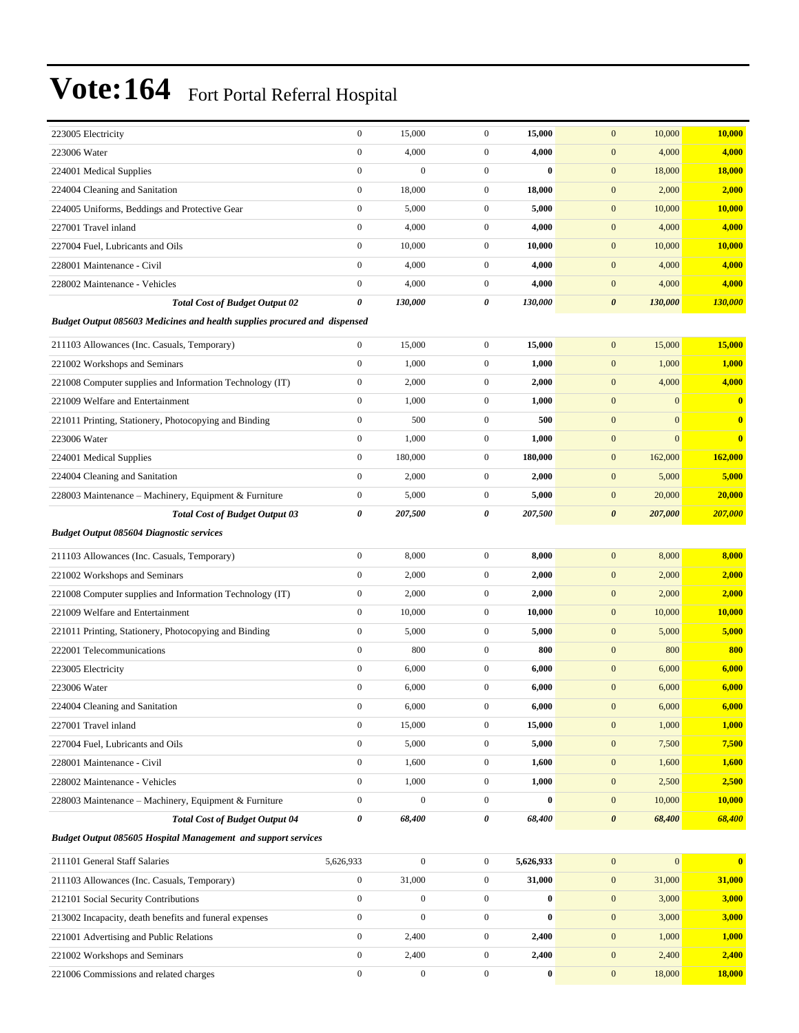| 223005 Electricity                                                                             | $\boldsymbol{0}$      | 15,000           | $\boldsymbol{0}$ | 15,000    | $\mathbf{0}$<br>10,000           | 10,000        |
|------------------------------------------------------------------------------------------------|-----------------------|------------------|------------------|-----------|----------------------------------|---------------|
| 223006 Water                                                                                   | $\mathbf{0}$          | 4,000            | $\boldsymbol{0}$ | 4,000     | $\boldsymbol{0}$<br>4,000        | 4,000         |
| 224001 Medical Supplies                                                                        | $\boldsymbol{0}$      | $\mathbf{0}$     | $\boldsymbol{0}$ | $\bf{0}$  | $\mathbf{0}$<br>18,000           | 18,000        |
| 224004 Cleaning and Sanitation                                                                 | $\boldsymbol{0}$      | 18,000           | $\boldsymbol{0}$ | 18,000    | $\boldsymbol{0}$<br>2,000        | 2,000         |
| 224005 Uniforms, Beddings and Protective Gear                                                  | $\mathbf{0}$          | 5,000            | $\boldsymbol{0}$ | 5,000     | $\mathbf{0}$<br>10,000           | 10,000        |
| 227001 Travel inland                                                                           | $\boldsymbol{0}$      | 4,000            | $\boldsymbol{0}$ | 4,000     | $\mathbf{0}$<br>4,000            | 4,000         |
| 227004 Fuel, Lubricants and Oils                                                               | $\boldsymbol{0}$      | 10,000           | $\boldsymbol{0}$ | 10,000    | $\boldsymbol{0}$<br>10,000       | 10,000        |
| 228001 Maintenance - Civil                                                                     | $\boldsymbol{0}$      | 4,000            | $\boldsymbol{0}$ | 4,000     | $\mathbf{0}$<br>4,000            | 4,000         |
| 228002 Maintenance - Vehicles                                                                  | $\boldsymbol{0}$      | 4,000            | $\boldsymbol{0}$ | 4,000     | $\boldsymbol{0}$<br>4,000        | 4,000         |
| <b>Total Cost of Budget Output 02</b>                                                          | $\boldsymbol{\theta}$ | 130,000          | 0                | 130,000   | $\boldsymbol{\theta}$<br>130,000 | 130,000       |
| Budget Output 085603 Medicines and health supplies procured and dispensed                      |                       |                  |                  |           |                                  |               |
| 211103 Allowances (Inc. Casuals, Temporary)                                                    | $\boldsymbol{0}$      | 15,000           | $\boldsymbol{0}$ | 15,000    | $\mathbf{0}$<br>15,000           | 15,000        |
| 221002 Workshops and Seminars                                                                  | $\mathbf{0}$          | 1,000            | $\boldsymbol{0}$ | 1,000     | 1,000<br>$\boldsymbol{0}$        | 1,000         |
| 221008 Computer supplies and Information Technology (IT)                                       | $\boldsymbol{0}$      | 2,000            | $\boldsymbol{0}$ | 2,000     | $\boldsymbol{0}$<br>4,000        | 4,000         |
| 221009 Welfare and Entertainment                                                               | $\mathbf{0}$          | 1,000            | $\boldsymbol{0}$ | 1,000     | $\boldsymbol{0}$<br>$\mathbf{0}$ | $\bf{0}$      |
| 221011 Printing, Stationery, Photocopying and Binding                                          | $\mathbf{0}$          | 500              | $\boldsymbol{0}$ | 500       | $\mathbf{0}$<br>$\overline{0}$   | $\bf{0}$      |
| 223006 Water                                                                                   | $\boldsymbol{0}$      | 1,000            | $\boldsymbol{0}$ | 1,000     | $\mathbf{0}$<br>$\overline{0}$   | $\bf{0}$      |
| 224001 Medical Supplies                                                                        | $\mathbf{0}$          | 180,000          | $\boldsymbol{0}$ | 180,000   | $\boldsymbol{0}$<br>162,000      | 162,000       |
| 224004 Cleaning and Sanitation                                                                 | $\boldsymbol{0}$      | 2,000            | $\boldsymbol{0}$ | 2,000     | $\mathbf{0}$<br>5,000            | 5,000         |
|                                                                                                | $\boldsymbol{0}$      | 5,000            | $\boldsymbol{0}$ | 5,000     | $\boldsymbol{0}$<br>20,000       | 20,000        |
| 228003 Maintenance – Machinery, Equipment & Furniture<br><b>Total Cost of Budget Output 03</b> | 0                     | 207,500          | 0                | 207,500   | 207,000<br>$\boldsymbol{\theta}$ | 207,000       |
| <b>Budget Output 085604 Diagnostic services</b>                                                |                       |                  |                  |           |                                  |               |
|                                                                                                |                       |                  |                  |           |                                  |               |
| 211103 Allowances (Inc. Casuals, Temporary)                                                    | $\boldsymbol{0}$      | 8,000            | $\boldsymbol{0}$ | 8,000     | $\boldsymbol{0}$<br>8,000        | 8,000         |
| 221002 Workshops and Seminars                                                                  | $\boldsymbol{0}$      | 2,000            | $\boldsymbol{0}$ | 2,000     | $\mathbf{0}$<br>2,000            | 2,000         |
| 221008 Computer supplies and Information Technology (IT)                                       | $\boldsymbol{0}$      | 2,000            | $\boldsymbol{0}$ | 2,000     | $\boldsymbol{0}$<br>2,000        | 2,000         |
| 221009 Welfare and Entertainment                                                               | $\mathbf{0}$          | 10,000           | $\boldsymbol{0}$ | 10,000    | $\boldsymbol{0}$<br>10,000       | <b>10,000</b> |
| 221011 Printing, Stationery, Photocopying and Binding                                          | $\mathbf{0}$          | 5,000            | $\boldsymbol{0}$ | 5,000     | $\mathbf{0}$<br>5,000            | 5,000         |
| 222001 Telecommunications                                                                      | $\boldsymbol{0}$      | 800              | $\boldsymbol{0}$ | 800       | $\boldsymbol{0}$<br>800          | 800           |
| 223005 Electricity                                                                             | $\boldsymbol{0}$      | 6,000            | $\boldsymbol{0}$ | 6,000     | $\boldsymbol{0}$<br>6,000        | 6,000         |
| 223006 Water                                                                                   | $\boldsymbol{0}$      | 6,000            | $\boldsymbol{0}$ | 6,000     | $\boldsymbol{0}$<br>6,000        | 6,000         |
| 224004 Cleaning and Sanitation                                                                 | $\boldsymbol{0}$      | 6,000            | $\mathbf{0}$     | 6,000     | $\boldsymbol{0}$<br>6,000        | 6,000         |
| 227001 Travel inland                                                                           | $\boldsymbol{0}$      | 15,000           | $\boldsymbol{0}$ | 15,000    | $\boldsymbol{0}$<br>1,000        | 1,000         |
| 227004 Fuel, Lubricants and Oils                                                               | $\boldsymbol{0}$      | 5,000            | $\boldsymbol{0}$ | 5,000     | $\boldsymbol{0}$<br>7,500        | 7,500         |
| 228001 Maintenance - Civil                                                                     | $\boldsymbol{0}$      | 1,600            | $\boldsymbol{0}$ | 1,600     | $\mathbf{0}$<br>1,600            | 1,600         |
| 228002 Maintenance - Vehicles                                                                  | $\boldsymbol{0}$      | 1,000            | $\boldsymbol{0}$ | 1,000     | $\mathbf{0}$<br>2,500            | 2,500         |
| 228003 Maintenance - Machinery, Equipment & Furniture                                          | $\boldsymbol{0}$      | $\boldsymbol{0}$ | $\boldsymbol{0}$ | $\bf{0}$  | $\boldsymbol{0}$<br>10,000       | <b>10,000</b> |
| <b>Total Cost of Budget Output 04</b>                                                          | $\boldsymbol{\theta}$ | 68,400           | 0                | 68,400    | $\boldsymbol{\theta}$<br>68,400  | 68,400        |
| <b>Budget Output 085605 Hospital Management and support services</b>                           |                       |                  |                  |           |                                  |               |
| 211101 General Staff Salaries                                                                  | 5,626,933             | $\boldsymbol{0}$ | $\boldsymbol{0}$ | 5,626,933 | $\mathbf{0}$<br>$\overline{0}$   | $\bf{0}$      |
| 211103 Allowances (Inc. Casuals, Temporary)                                                    | $\boldsymbol{0}$      | 31,000           | $\boldsymbol{0}$ | 31,000    | 31,000<br>$\boldsymbol{0}$       | 31,000        |
| 212101 Social Security Contributions                                                           | $\boldsymbol{0}$      | $\boldsymbol{0}$ | $\boldsymbol{0}$ | $\bf{0}$  | $\mathbf{0}$<br>3,000            | 3,000         |
| 213002 Incapacity, death benefits and funeral expenses                                         | $\boldsymbol{0}$      | $\boldsymbol{0}$ | $\boldsymbol{0}$ | $\bf{0}$  | $\boldsymbol{0}$<br>3,000        | 3,000         |
| 221001 Advertising and Public Relations                                                        | $\boldsymbol{0}$      | 2,400            | $\boldsymbol{0}$ | 2,400     | $\boldsymbol{0}$<br>1,000        | 1,000         |
| 221002 Workshops and Seminars                                                                  | $\boldsymbol{0}$      | 2,400            | $\boldsymbol{0}$ | 2,400     | $\mathbf{0}$<br>2,400            | 2,400         |
| 221006 Commissions and related charges                                                         | $\boldsymbol{0}$      | $\boldsymbol{0}$ | $\boldsymbol{0}$ | $\bf{0}$  | $\boldsymbol{0}$<br>18,000       | <b>18,000</b> |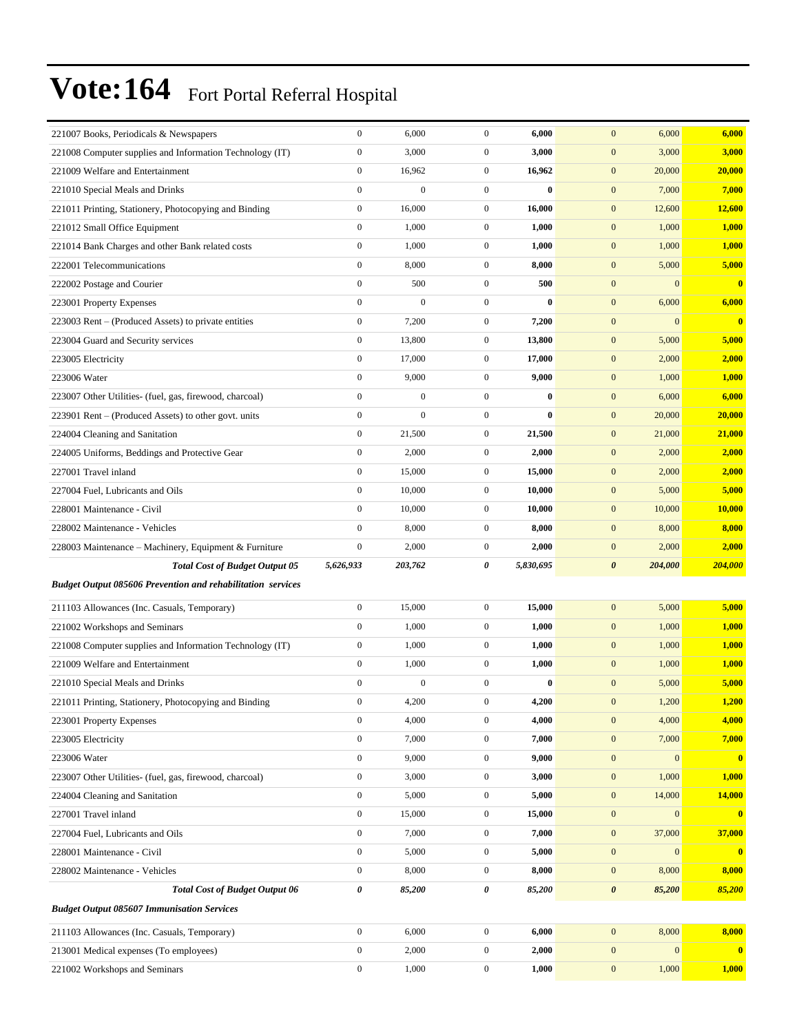| 221007 Books, Periodicals & Newspapers                             | $\boldsymbol{0}$ | 6,000            | $\overline{0}$   | 6,000        | 6,000<br>$\mathbf{0}$                | 6,000        |
|--------------------------------------------------------------------|------------------|------------------|------------------|--------------|--------------------------------------|--------------|
| 221008 Computer supplies and Information Technology (IT)           | $\boldsymbol{0}$ | 3,000            | $\mathbf{0}$     | 3,000        | $\boldsymbol{0}$<br>3,000            | 3,000        |
| 221009 Welfare and Entertainment                                   | $\boldsymbol{0}$ | 16,962           | $\mathbf{0}$     | 16,962       | $\mathbf{0}$<br>20,000               | 20,000       |
| 221010 Special Meals and Drinks                                    | $\boldsymbol{0}$ | $\boldsymbol{0}$ | $\overline{0}$   | $\bf{0}$     | 7,000<br>$\mathbf{0}$                | 7,000        |
| 221011 Printing, Stationery, Photocopying and Binding              | $\boldsymbol{0}$ | 16,000           | $\mathbf{0}$     | 16,000       | $\mathbf{0}$<br>12,600               | 12,600       |
| 221012 Small Office Equipment                                      | $\boldsymbol{0}$ | 1,000            | $\mathbf{0}$     | 1,000        | $\mathbf{0}$<br>1,000                | 1,000        |
| 221014 Bank Charges and other Bank related costs                   | $\boldsymbol{0}$ | 1,000            | $\overline{0}$   | 1,000        | $\mathbf{0}$<br>1,000                | 1,000        |
| 222001 Telecommunications                                          | $\boldsymbol{0}$ | 8,000            | $\mathbf{0}$     | 8,000        | $\mathbf{0}$<br>5,000                | 5,000        |
| 222002 Postage and Courier                                         | $\boldsymbol{0}$ | 500              | $\overline{0}$   | 500          | $\mathbf{0}$<br>$\mathbf{0}$         | $\bf{0}$     |
| 223001 Property Expenses                                           | $\boldsymbol{0}$ | $\boldsymbol{0}$ | $\overline{0}$   | $\bf{0}$     | $\mathbf{0}$<br>6,000                | 6,000        |
| 223003 Rent – (Produced Assets) to private entities                | $\boldsymbol{0}$ | 7,200            | $\mathbf{0}$     | 7,200        | $\mathbf{0}$<br>$\mathbf{0}$         | $\bf{0}$     |
| 223004 Guard and Security services                                 | $\boldsymbol{0}$ | 13,800           | $\overline{0}$   | 13,800       | $\mathbf{0}$<br>5,000                | 5,000        |
| 223005 Electricity                                                 | $\boldsymbol{0}$ | 17,000           | $\mathbf{0}$     | 17,000       | $\mathbf{0}$<br>2,000                | 2,000        |
| 223006 Water                                                       | $\boldsymbol{0}$ | 9,000            | $\mathbf{0}$     | 9,000        | $\mathbf{0}$<br>1,000                | 1,000        |
| 223007 Other Utilities- (fuel, gas, firewood, charcoal)            | $\mathbf{0}$     | $\boldsymbol{0}$ | $\overline{0}$   | $\bf{0}$     | $\mathbf{0}$<br>6,000                | 6,000        |
| 223901 Rent - (Produced Assets) to other govt. units               | $\boldsymbol{0}$ | $\mathbf{0}$     | $\mathbf{0}$     | $\mathbf{0}$ | $\mathbf{0}$<br>20,000               | 20,000       |
| 224004 Cleaning and Sanitation                                     | $\boldsymbol{0}$ | 21,500           | $\mathbf{0}$     | 21,500       | $\mathbf{0}$<br>21,000               | 21,000       |
| 224005 Uniforms, Beddings and Protective Gear                      | $\boldsymbol{0}$ | 2,000            | $\mathbf{0}$     | 2,000        | $\mathbf{0}$<br>2,000                | 2,000        |
| 227001 Travel inland                                               | $\boldsymbol{0}$ | 15,000           | $\mathbf{0}$     | 15,000       | $\mathbf{0}$<br>2,000                | 2,000        |
| 227004 Fuel, Lubricants and Oils                                   | $\mathbf{0}$     | 10,000           | $\mathbf{0}$     | 10,000       | $\mathbf{0}$<br>5,000                | 5,000        |
| 228001 Maintenance - Civil                                         | $\boldsymbol{0}$ | 10,000           | $\mathbf{0}$     | 10,000       | $\mathbf{0}$<br>10,000               | 10,000       |
| 228002 Maintenance - Vehicles                                      | $\boldsymbol{0}$ | 8,000            | $\mathbf{0}$     | 8,000        | $\mathbf{0}$<br>8,000                | 8,000        |
| 228003 Maintenance – Machinery, Equipment & Furniture              | $\boldsymbol{0}$ | 2,000            | $\mathbf{0}$     | 2,000        | $\mathbf{0}$<br>2,000                | 2,000        |
|                                                                    |                  |                  |                  |              |                                      |              |
| <b>Total Cost of Budget Output 05</b>                              | 5,626,933        | 203,762          | 0                | 5,830,695    | $\boldsymbol{\theta}$<br>204,000     | 204,000      |
| <b>Budget Output 085606 Prevention and rehabilitation services</b> |                  |                  |                  |              |                                      |              |
| 211103 Allowances (Inc. Casuals, Temporary)                        | $\boldsymbol{0}$ | 15,000           | $\boldsymbol{0}$ | 15,000       | $\mathbf{0}$<br>5,000                | 5,000        |
| 221002 Workshops and Seminars                                      | $\boldsymbol{0}$ | 1,000            | $\mathbf{0}$     | 1,000        | $\mathbf{0}$<br>1,000                | 1,000        |
| 221008 Computer supplies and Information Technology (IT)           | $\boldsymbol{0}$ | 1,000            | $\overline{0}$   | 1,000        | $\boldsymbol{0}$<br>1,000            | 1,000        |
| 221009 Welfare and Entertainment                                   | $\boldsymbol{0}$ | 1,000            | $\mathbf{0}$     | 1,000        | $\mathbf{0}$<br>1,000                | 1,000        |
| 221010 Special Meals and Drinks                                    | $\boldsymbol{0}$ | $\boldsymbol{0}$ | $\mathbf{0}$     | $\bf{0}$     | $\mathbf{0}$<br>5,000                | 5,000        |
| 221011 Printing, Stationery, Photocopying and Binding              | $\mathbf{0}$     | 4,200            | $\overline{0}$   | 4,200        | $\mathbf{0}$<br>1,200                | 1,200        |
| 223001 Property Expenses                                           | $\boldsymbol{0}$ | 4,000            | $\overline{0}$   | 4,000        | 4,000<br>$\mathbf{0}$                | 4,000        |
| 223005 Electricity                                                 | $\boldsymbol{0}$ | 7,000            | $\boldsymbol{0}$ | 7,000        | 7,000<br>$\mathbf{0}$                | 7,000        |
| 223006 Water                                                       | $\boldsymbol{0}$ | 9,000            | $\boldsymbol{0}$ | 9,000        | $\mathbf{0}$<br>$\bf{0}$             | $\mathbf{0}$ |
| 223007 Other Utilities- (fuel, gas, firewood, charcoal)            | $\boldsymbol{0}$ | 3,000            | $\boldsymbol{0}$ | 3,000        | $\mathbf{0}$<br>1,000                | 1,000        |
| 224004 Cleaning and Sanitation                                     | $\boldsymbol{0}$ | 5,000            | $\boldsymbol{0}$ | 5,000        | $\mathbf{0}$<br>14,000               | 14,000       |
| 227001 Travel inland                                               | $\boldsymbol{0}$ | 15,000           | $\mathbf{0}$     | 15,000       | $\mathbf{0}$<br>$\mathbf{0}$         | $\bf{0}$     |
| 227004 Fuel, Lubricants and Oils                                   | $\boldsymbol{0}$ | 7,000            | $\boldsymbol{0}$ | 7,000        | 37,000<br>$\boldsymbol{0}$           | 37,000       |
| 228001 Maintenance - Civil                                         | $\boldsymbol{0}$ | 5,000            | $\boldsymbol{0}$ | 5,000        | $\mathbf{0}$<br>$\mathbf{0}$         | $\bf{0}$     |
| 228002 Maintenance - Vehicles                                      | $\boldsymbol{0}$ | 8,000            | $\boldsymbol{0}$ | 8,000        | $\mathbf{0}$<br>8,000                | 8,000        |
| <b>Total Cost of Budget Output 06</b>                              | $\pmb{\theta}$   | 85,200           | 0                | 85,200       | $\pmb{\theta}$<br>85,200             | 85,200       |
| <b>Budget Output 085607 Immunisation Services</b>                  |                  |                  |                  |              |                                      |              |
| 211103 Allowances (Inc. Casuals, Temporary)                        | $\boldsymbol{0}$ | 6,000            | $\overline{0}$   | 6,000        | 8,000<br>$\mathbf{0}$                | 8,000        |
| 213001 Medical expenses (To employees)                             | $\boldsymbol{0}$ | 2,000            | $\boldsymbol{0}$ | 2,000        | $\boldsymbol{0}$<br>$\boldsymbol{0}$ | $\bf{0}$     |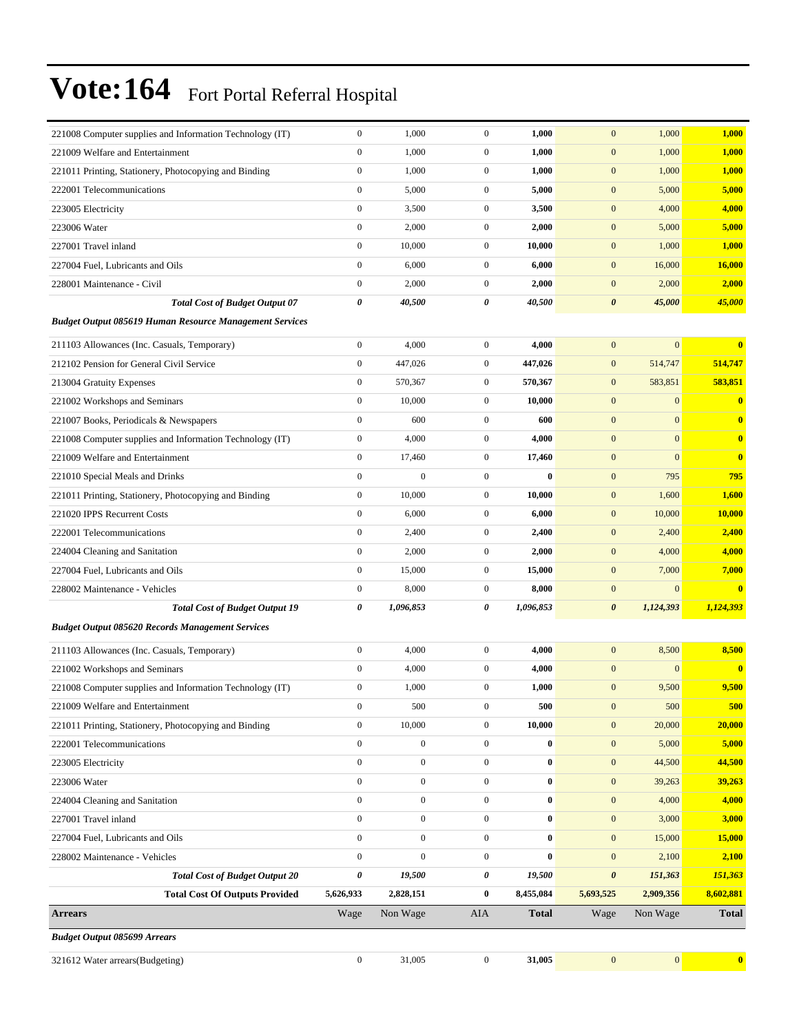| 221008 Computer supplies and Information Technology (IT)       | $\mathbf{0}$     | 1,000            | $\mathbf{0}$     | 1,000        | $\mathbf{0}$          | 1,000            | 1,000                   |
|----------------------------------------------------------------|------------------|------------------|------------------|--------------|-----------------------|------------------|-------------------------|
| 221009 Welfare and Entertainment                               | $\boldsymbol{0}$ | 1,000            | $\boldsymbol{0}$ | 1,000        | $\mathbf{0}$          | 1,000            | 1,000                   |
| 221011 Printing, Stationery, Photocopying and Binding          | $\boldsymbol{0}$ | 1,000            | $\mathbf{0}$     | 1,000        | $\mathbf{0}$          | 1,000            | 1,000                   |
| 222001 Telecommunications                                      | $\boldsymbol{0}$ | 5,000            | $\mathbf{0}$     | 5,000        | $\mathbf{0}$          | 5,000            | 5,000                   |
| 223005 Electricity                                             | $\boldsymbol{0}$ | 3,500            | $\mathbf{0}$     | 3,500        | $\boldsymbol{0}$      | 4,000            | 4,000                   |
| 223006 Water                                                   | $\mathbf{0}$     | 2,000            | $\mathbf{0}$     | 2,000        | $\mathbf{0}$          | 5,000            | 5,000                   |
| 227001 Travel inland                                           | $\boldsymbol{0}$ | 10,000           | $\mathbf{0}$     | 10,000       | $\mathbf{0}$          | 1,000            | 1,000                   |
| 227004 Fuel, Lubricants and Oils                               | $\boldsymbol{0}$ | 6,000            | $\mathbf{0}$     | 6,000        | $\mathbf{0}$          | 16,000           | 16,000                  |
| 228001 Maintenance - Civil                                     | $\boldsymbol{0}$ | 2,000            | $\mathbf{0}$     | 2,000        | $\mathbf{0}$          | 2,000            | 2,000                   |
| <b>Total Cost of Budget Output 07</b>                          | $\pmb{\theta}$   | 40,500           | 0                | 40,500       | $\boldsymbol{\theta}$ | 45,000           | 45,000                  |
| <b>Budget Output 085619 Human Resource Management Services</b> |                  |                  |                  |              |                       |                  |                         |
| 211103 Allowances (Inc. Casuals, Temporary)                    | $\boldsymbol{0}$ | 4,000            | $\overline{0}$   | 4,000        | $\mathbf{0}$          | $\overline{0}$   | $\bf{0}$                |
| 212102 Pension for General Civil Service                       | $\mathbf{0}$     | 447,026          | $\mathbf{0}$     | 447,026      | $\mathbf{0}$          | 514,747          | 514,747                 |
| 213004 Gratuity Expenses                                       | $\boldsymbol{0}$ | 570,367          | $\mathbf{0}$     | 570,367      | $\mathbf{0}$          | 583,851          | 583,851                 |
| 221002 Workshops and Seminars                                  | $\boldsymbol{0}$ | 10,000           | $\mathbf{0}$     | 10,000       | $\mathbf{0}$          | $\boldsymbol{0}$ | $\bf{0}$                |
| 221007 Books, Periodicals & Newspapers                         | $\boldsymbol{0}$ | 600              | $\overline{0}$   | 600          | $\boldsymbol{0}$      | $\boldsymbol{0}$ | $\bf{0}$                |
| 221008 Computer supplies and Information Technology (IT)       | $\boldsymbol{0}$ | 4,000            | $\overline{0}$   | 4,000        | $\mathbf{0}$          | $\overline{0}$   | $\bf{0}$                |
| 221009 Welfare and Entertainment                               | $\mathbf{0}$     | 17,460           | $\mathbf{0}$     | 17,460       | $\mathbf{0}$          | $\boldsymbol{0}$ | $\bf{0}$                |
| 221010 Special Meals and Drinks                                | $\boldsymbol{0}$ | $\overline{0}$   | $\mathbf{0}$     | $\bf{0}$     | $\mathbf{0}$          | 795              | 795                     |
| 221011 Printing, Stationery, Photocopying and Binding          | $\boldsymbol{0}$ | 10,000           | $\mathbf{0}$     | 10,000       | $\mathbf{0}$          | 1,600            | 1,600                   |
| 221020 IPPS Recurrent Costs                                    | $\boldsymbol{0}$ | 6,000            | $\mathbf{0}$     | 6,000        | $\mathbf{0}$          | 10,000           | 10,000                  |
| 222001 Telecommunications                                      | $\mathbf{0}$     | 2,400            | $\overline{0}$   | 2,400        | $\mathbf{0}$          | 2,400            | 2,400                   |
| 224004 Cleaning and Sanitation                                 | $\boldsymbol{0}$ | 2,000            | $\mathbf{0}$     | 2,000        | $\mathbf{0}$          | 4,000            | 4,000                   |
| 227004 Fuel, Lubricants and Oils                               | $\boldsymbol{0}$ | 15,000           | $\mathbf{0}$     | 15,000       | $\mathbf{0}$          | 7,000            | 7,000                   |
| 228002 Maintenance - Vehicles                                  | $\boldsymbol{0}$ | 8,000            | $\mathbf{0}$     | 8,000        | $\boldsymbol{0}$      | $\boldsymbol{0}$ | $\bf{0}$                |
| <b>Total Cost of Budget Output 19</b>                          | 0                | 1,096,853        | 0                | 1,096,853    | $\boldsymbol{\theta}$ | 1,124,393        | 1,124,393               |
| <b>Budget Output 085620 Records Management Services</b>        |                  |                  |                  |              |                       |                  |                         |
| 211103 Allowances (Inc. Casuals, Temporary)                    | $\boldsymbol{0}$ | 4,000            | $\overline{0}$   | 4,000        | $\mathbf{0}$          | 8,500            | 8,500                   |
| 221002 Workshops and Seminars                                  | $\mathbf{0}$     | 4,000            | $\mathbf{0}$     | 4,000        | $\mathbf{0}$          | $\boldsymbol{0}$ | $\bf{0}$                |
| 221008 Computer supplies and Information Technology (IT)       | $\mathbf{0}$     | 1,000            | $\mathbf{0}$     | 1,000        | $\mathbf{0}$          | 9,500            | 9,500                   |
| 221009 Welfare and Entertainment                               | $\boldsymbol{0}$ | 500              | $\boldsymbol{0}$ | 500          | $\boldsymbol{0}$      | 500              | <b>500</b>              |
| 221011 Printing, Stationery, Photocopying and Binding          | $\boldsymbol{0}$ | 10,000           | $\overline{0}$   | 10,000       | $\boldsymbol{0}$      | 20,000           | 20,000                  |
| 222001 Telecommunications                                      | $\boldsymbol{0}$ | $\boldsymbol{0}$ | $\boldsymbol{0}$ | $\bf{0}$     | $\mathbf{0}$          | 5,000            | 5,000                   |
| 223005 Electricity                                             | $\boldsymbol{0}$ | $\boldsymbol{0}$ | $\overline{0}$   | $\bf{0}$     | $\mathbf{0}$          | 44,500           | 44,500                  |
| 223006 Water                                                   | $\boldsymbol{0}$ | $\boldsymbol{0}$ | $\overline{0}$   | $\bf{0}$     | $\mathbf{0}$          | 39,263           | 39,263                  |
| 224004 Cleaning and Sanitation                                 | $\boldsymbol{0}$ | $\boldsymbol{0}$ | $\boldsymbol{0}$ | $\bf{0}$     | $\mathbf{0}$          | 4,000            | 4,000                   |
| 227001 Travel inland                                           | $\boldsymbol{0}$ | $\boldsymbol{0}$ | $\overline{0}$   | $\bf{0}$     | $\mathbf{0}$          | 3,000            | 3,000                   |
| 227004 Fuel, Lubricants and Oils                               | $\boldsymbol{0}$ | $\boldsymbol{0}$ | $\boldsymbol{0}$ | $\bf{0}$     | $\mathbf{0}$          | 15,000           | <b>15,000</b>           |
| 228002 Maintenance - Vehicles                                  | $\mathbf{0}$     | $\boldsymbol{0}$ | $\boldsymbol{0}$ | $\bf{0}$     | $\boldsymbol{0}$      | 2,100            | 2,100                   |
| <b>Total Cost of Budget Output 20</b>                          | $\pmb{\theta}$   | 19,500           | 0                | 19,500       | $\pmb{\theta}$        | 151,363          | 151,363                 |
| <b>Total Cost Of Outputs Provided</b>                          | 5,626,933        | 2,828,151        | $\bf{0}$         | 8,455,084    | 5,693,525             | 2,909,356        | 8,602,881               |
| <b>Arrears</b>                                                 | Wage             | Non Wage         | AIA              | <b>Total</b> | Wage                  | Non Wage         | <b>Total</b>            |
| <b>Budget Output 085699 Arrears</b>                            |                  |                  |                  |              |                       |                  |                         |
| 321612 Water arrears(Budgeting)                                | $\boldsymbol{0}$ | 31,005           | $\boldsymbol{0}$ | 31,005       | $\mathbf{0}$          | $\boldsymbol{0}$ | $\overline{\mathbf{0}}$ |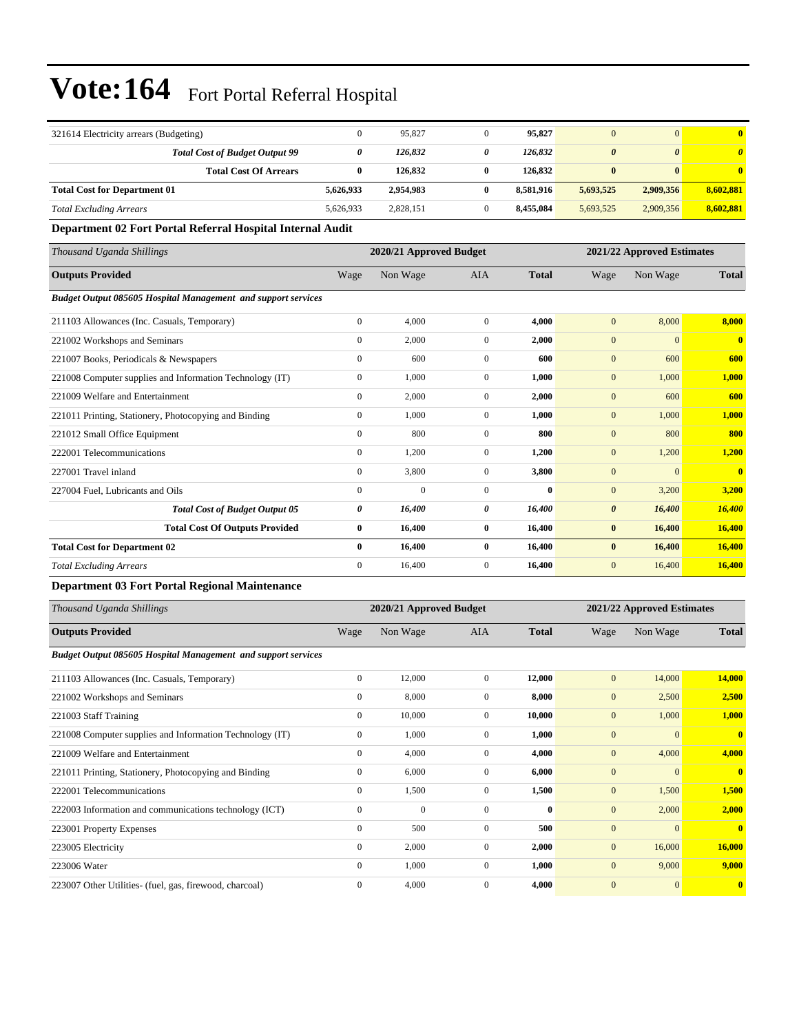| 321614 Electricity arrears (Budgeting)                               | $\boldsymbol{0}$ | 95,827                  | $\boldsymbol{0}$ | 95,827           | $\mathbf{0}$          | $\mathbf{0}$               | $\bf{0}$                |
|----------------------------------------------------------------------|------------------|-------------------------|------------------|------------------|-----------------------|----------------------------|-------------------------|
| <b>Total Cost of Budget Output 99</b>                                | 0                | 126,832                 | 0                | 126,832          | $\boldsymbol{\theta}$ | $\boldsymbol{\theta}$      | $\boldsymbol{\theta}$   |
| <b>Total Cost Of Arrears</b>                                         | $\bf{0}$         | 126,832                 | $\bf{0}$         | 126,832          | $\bf{0}$              | $\bf{0}$                   | $\bf{0}$                |
| <b>Total Cost for Department 01</b>                                  | 5,626,933        | 2,954,983               | $\bf{0}$         | 8,581,916        | 5,693,525             | 2,909,356                  | 8,602,881               |
| <b>Total Excluding Arrears</b>                                       | 5,626,933        | 2,828,151               | $\mathbf{0}$     | 8,455,084        | 5,693,525             | 2,909,356                  | 8,602,881               |
| Department 02 Fort Portal Referral Hospital Internal Audit           |                  |                         |                  |                  |                       |                            |                         |
| Thousand Uganda Shillings                                            |                  | 2020/21 Approved Budget |                  |                  |                       | 2021/22 Approved Estimates |                         |
| <b>Outputs Provided</b>                                              | Wage             | Non Wage                | AIA              | <b>Total</b>     | Wage                  | Non Wage                   | <b>Total</b>            |
| Budget Output 085605 Hospital Management and support services        |                  |                         |                  |                  |                       |                            |                         |
| 211103 Allowances (Inc. Casuals, Temporary)                          | $\boldsymbol{0}$ | 4,000                   | $\overline{0}$   | 4,000            | $\boldsymbol{0}$      | 8,000                      | 8,000                   |
| 221002 Workshops and Seminars                                        | $\boldsymbol{0}$ | 2,000                   | $\mathbf{0}$     | 2,000            | $\mathbf{0}$          | $\mathbf{0}$               | $\overline{\mathbf{0}}$ |
| 221007 Books, Periodicals & Newspapers                               | $\boldsymbol{0}$ | 600                     | $\mathbf{0}$     | 600              | $\mathbf{0}$          | 600                        | 600                     |
| 221008 Computer supplies and Information Technology (IT)             | $\boldsymbol{0}$ | 1,000                   | $\mathbf{0}$     | 1,000            | $\mathbf{0}$          | 1,000                      | 1,000                   |
| 221009 Welfare and Entertainment                                     | $\boldsymbol{0}$ | 2,000                   | $\boldsymbol{0}$ | 2,000            | $\mathbf{0}$          | 600                        | 600                     |
| 221011 Printing, Stationery, Photocopying and Binding                | $\boldsymbol{0}$ | 1,000                   | $\mathbf{0}$     | 1,000            | $\mathbf{0}$          | 1,000                      | 1,000                   |
| 221012 Small Office Equipment                                        | $\boldsymbol{0}$ | 800                     | $\mathbf{0}$     | 800              | $\mathbf{0}$          | 800                        | 800                     |
| 222001 Telecommunications                                            | $\boldsymbol{0}$ | 1,200                   | $\mathbf{0}$     | 1,200            | $\mathbf{0}$          | 1,200                      | 1,200                   |
| 227001 Travel inland                                                 | $\boldsymbol{0}$ | 3,800                   | $\mathbf{0}$     | 3,800            | $\mathbf{0}$          | $\mathbf{0}$               | $\overline{\mathbf{0}}$ |
| 227004 Fuel. Lubricants and Oils                                     | $\boldsymbol{0}$ | $\mathbf{0}$            | $\boldsymbol{0}$ | $\bf{0}$         | $\mathbf{0}$          | 3,200                      | 3,200                   |
| <b>Total Cost of Budget Output 05</b>                                | 0                | 16,400                  | 0                | 16,400           | $\boldsymbol{\theta}$ | 16,400                     | 16,400                  |
| <b>Total Cost Of Outputs Provided</b>                                | $\bf{0}$         | 16,400                  | $\bf{0}$         | 16,400           | $\bf{0}$              | 16,400                     | 16,400                  |
| <b>Total Cost for Department 02</b>                                  | $\bf{0}$         | 16,400                  | $\bf{0}$         | 16,400           | $\bf{0}$              | 16,400                     | 16,400                  |
| <b>Total Excluding Arrears</b>                                       | $\boldsymbol{0}$ | 16,400                  | $\boldsymbol{0}$ | 16,400           | $\mathbf{0}$          | 16,400                     | 16,400                  |
| <b>Department 03 Fort Portal Regional Maintenance</b>                |                  |                         |                  |                  |                       |                            |                         |
| Thousand Uganda Shillings                                            |                  | 2020/21 Approved Budget |                  |                  |                       | 2021/22 Approved Estimates |                         |
| <b>Outputs Provided</b>                                              | Wage             | Non Wage                | AIA              | <b>Total</b>     | Wage                  | Non Wage                   | <b>Total</b>            |
| <b>Budget Output 085605 Hospital Management and support services</b> |                  |                         |                  |                  |                       |                            |                         |
| 211103 Allowances (Inc. Casuals, Temporary)                          | $\boldsymbol{0}$ | 12,000                  | $\boldsymbol{0}$ | 12,000           | $\mathbf{0}$          | 14,000                     | 14,000                  |
| 221002 Workshops and Seminars                                        | $\boldsymbol{0}$ | 8,000                   | $\mathbf{0}$     | 8,000            | $\mathbf{0}$          | 2,500                      | 2,500                   |
| 221003 Staff Training                                                | $\boldsymbol{0}$ | 10,000                  | $\boldsymbol{0}$ | 10,000           | $\boldsymbol{0}$      | 1,000                      | 1,000                   |
| 221008 Computer supplies and Information Technology (IT)             | $\boldsymbol{0}$ | 1,000                   | $\overline{0}$   | 1,000            | $\boldsymbol{0}$      | $\mathbf{0}$               | $\mathbf{0}$            |
| 221009 Welfare and Entertainment                                     | $\boldsymbol{0}$ | 4,000                   | $\boldsymbol{0}$ | 4,000            | $\boldsymbol{0}$      | 4,000                      | 4,000                   |
| 221011 Printing, Stationery, Photocopying and Binding                | $\boldsymbol{0}$ | 6,000                   | $\boldsymbol{0}$ | 6,000            | $\mathbf{0}$          | $\mathbf{0}$               | $\mathbf{0}$            |
| 222001 Telecommunications                                            | $\boldsymbol{0}$ | 1,500                   | $\boldsymbol{0}$ | 1,500            | $\boldsymbol{0}$      | 1,500                      | 1,500                   |
| 222003 Information and communications technology (ICT)               | $\boldsymbol{0}$ | $\boldsymbol{0}$        | $\boldsymbol{0}$ | $\boldsymbol{0}$ | $\boldsymbol{0}$      | 2,000                      | 2,000                   |
| 223001 Property Expenses                                             | $\boldsymbol{0}$ | 500                     | $\boldsymbol{0}$ | 500              | $\boldsymbol{0}$      | $\mathbf{0}$               | $\mathbf{0}$            |
| 223005 Electricity                                                   | $\boldsymbol{0}$ | 2,000                   | $\boldsymbol{0}$ | 2,000            | $\boldsymbol{0}$      | 16,000                     | 16,000                  |
| 223006 Water                                                         | $\boldsymbol{0}$ | 1,000                   | $\boldsymbol{0}$ | 1,000            | $\mathbf{0}$          | 9,000                      | 9,000                   |
| 223007 Other Utilities- (fuel, gas, firewood, charcoal)              | $\boldsymbol{0}$ | 4,000                   | $\boldsymbol{0}$ | 4,000            | $\boldsymbol{0}$      | $\mathbf{0}$               | $\mathbf{0}$            |